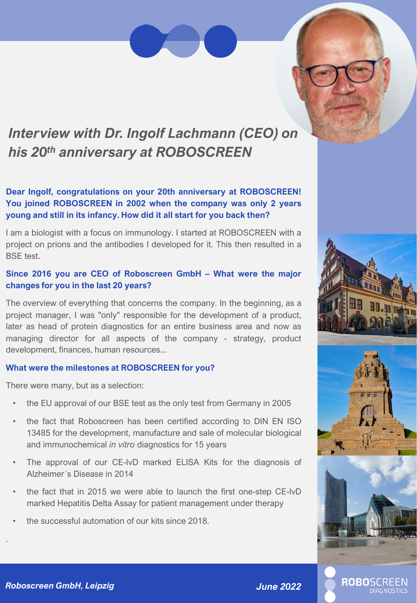## *Interview with Dr. Ingolf Lachmann (CEO) on his 20th anniversary at ROBOSCREEN*

### **Dear Ingolf, congratulations on your 20th anniversary at ROBOSCREEN! You joined ROBOSCREEN in 2002 when the company was only 2 years young and still in its infancy. How did it all start for you back then?**

I am a biologist with a focus on immunology. I started at ROBOSCREEN with a project on prions and the antibodies I developed for it. This then resulted in a BSE test.

### **Since 2016 you are CEO of Roboscreen GmbH – What were the major changes for you in the last 20 years?**

The overview of everything that concerns the company. In the beginning, as a project manager, I was "only" responsible for the development of a product, later as head of protein diagnostics for an entire business area and now as managing director for all aspects of the company - strategy, product development, finances, human resources...

### **What were the milestones at ROBOSCREEN for you?**

There were many, but as a selection:

- the EU approval of our BSE test as the only test from Germany in 2005
- the fact that Roboscreen has been certified according to DIN EN ISO 13485 for the development, manufacture and sale of molecular biological and immunochemical *in vitro* diagnostics for 15 years
- The approval of our CE-IvD marked ELISA Kits for the diagnosis of Alzheimer´s Disease in 2014
- the fact that in 2015 we were able to launch the first one-step CE-IvD marked Hepatitis Delta Assay for patient management under therapy
- the successful automation of our kits since 2018.

.

**ROBOSCREEN DIAGNOSTIC**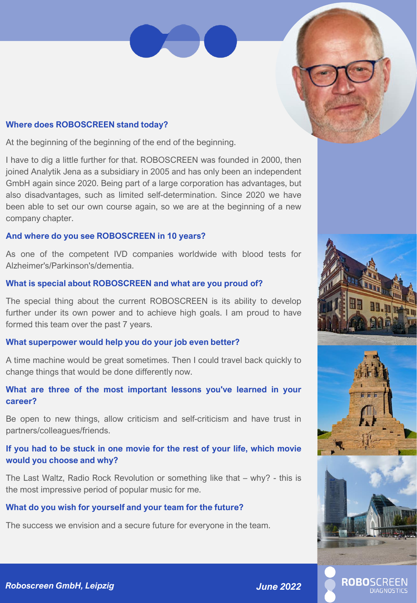### **Where does ROBOSCREEN stand today?**

At the beginning of the beginning of the end of the beginning.

I have to dig a little further for that. ROBOSCREEN was founded in 2000, then joined Analytik Jena as a subsidiary in 2005 and has only been an independent GmbH again since 2020. Being part of a large corporation has advantages, but also disadvantages, such as limited self-determination. Since 2020 we have been able to set our own course again, so we are at the beginning of a new company chapter.

### **And where do you see ROBOSCREEN in 10 years?**

As one of the competent IVD companies worldwide with blood tests for Alzheimer's/Parkinson's/dementia.

### **What is special about ROBOSCREEN and what are you proud of?**

The special thing about the current ROBOSCREEN is its ability to develop further under its own power and to achieve high goals. I am proud to have formed this team over the past 7 years.

### **What superpower would help you do your job even better?**

A time machine would be great sometimes. Then I could travel back quickly to change things that would be done differently now.

### **What are three of the most important lessons you've learned in your career?**

Be open to new things, allow criticism and self-criticism and have trust in partners/colleagues/friends.

### **If you had to be stuck in one movie for the rest of your life, which movie would you choose and why?**

The Last Waltz, Radio Rock Revolution or something like that – why? - this is the most impressive period of popular music for me.

### **What do you wish for yourself and your team for the future?**

The success we envision and a secure future for everyone in the team.







**ROBO**SCREEN

**DIAGNOSTICS** 

### *Roboscreen GmbH, Leipzig June 2022*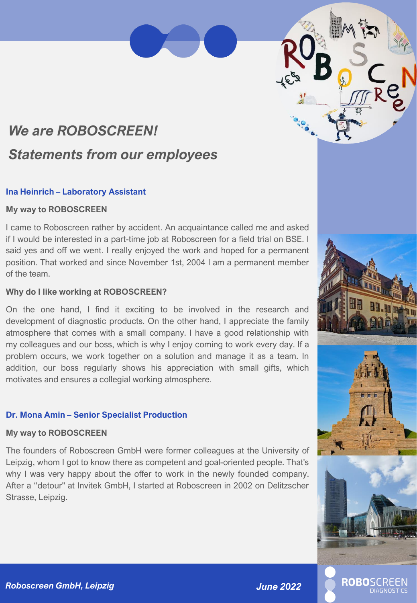# *We are ROBOSCREEN! Statements from our employees*

### **Ina Heinrich – Laboratory Assistant**

### **My way to ROBOSCREEN**

I came to Roboscreen rather by accident. An acquaintance called me and asked if I would be interested in a part-time job at Roboscreen for a field trial on BSE. I said yes and off we went. I really enjoyed the work and hoped for a permanent position. That worked and since November 1st, 2004 I am a permanent member of the team.

### **Why do I like working at ROBOSCREEN?**

On the one hand, I find it exciting to be involved in the research and development of diagnostic products. On the other hand, I appreciate the family atmosphere that comes with a small company. I have a good relationship with my colleagues and our boss, which is why I enjoy coming to work every day. If a problem occurs, we work together on a solution and manage it as a team. In addition, our boss regularly shows his appreciation with small gifts, which motivates and ensures a collegial working atmosphere.

### **Dr. Mona Amin – Senior Specialist Production**

### **My way to ROBOSCREEN**

The founders of Roboscreen GmbH were former colleagues at the University of Leipzig, whom I got to know there as competent and goal-oriented people. That's why I was very happy about the offer to work in the newly founded company. After a "detour" at Invitek GmbH, I started at Roboscreen in 2002 on Delitzscher Strasse, Leipzig.

**ROBOSCRE**